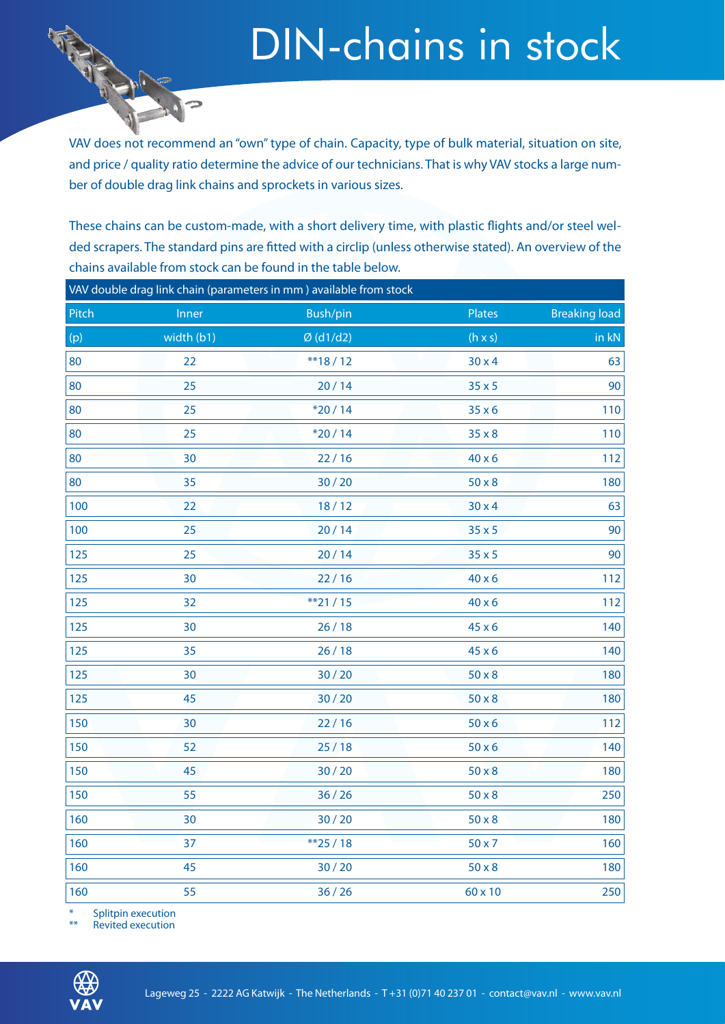### DIN-chains in stock

VAV does not recommend an "own" type of chain. Capacity, type of bulk material, situation on site, and price / quality ratio determine the advice of our technicians. That is why VAV stocks a large number of double drag link chains and sprockets in various sizes.

These chains can be custom-made, with a short delivery time, with plastic flights and/or steel welded scrapers. The standard pins are fitted with a circlip (unless otherwise stated). An overview of the chains available from stock can be found in the table below.

| VAV double drag link chain (parameters in mm) available from stock |            |             |                |                      |  |  |  |  |  |  |
|--------------------------------------------------------------------|------------|-------------|----------------|----------------------|--|--|--|--|--|--|
| Pitch                                                              | Inner      | Bush/pin    | Plates         | <b>Breaking load</b> |  |  |  |  |  |  |
| (p)                                                                | width (b1) | $Ø$ (d1/d2) | $(h \times s)$ | in $kN$              |  |  |  |  |  |  |
| 80                                                                 | 22         | $**18/12$   | $30 \times 4$  | 63                   |  |  |  |  |  |  |
| 80                                                                 | 25         | 20/14       | $35 \times 5$  | 90                   |  |  |  |  |  |  |
| 80                                                                 | 25         | $*20/14$    | $35 \times 6$  | 110                  |  |  |  |  |  |  |
| 80                                                                 | 25         | $*20/14$    | $35 \times 8$  | 110                  |  |  |  |  |  |  |
| 80                                                                 | 30         | 22/16       | $40 \times 6$  | 112                  |  |  |  |  |  |  |
| 80                                                                 | 35         | 30/20       | $50 \times 8$  | 180                  |  |  |  |  |  |  |
| 100                                                                | 22         | 18/12       | $30 \times 4$  | 63                   |  |  |  |  |  |  |
| 100                                                                | 25         | 20/14       | $35 \times 5$  | 90                   |  |  |  |  |  |  |
| 125                                                                | 25         | 20/14       | $35 \times 5$  | 90                   |  |  |  |  |  |  |
| 125                                                                | 30         | 22/16       | $40 \times 6$  | 112                  |  |  |  |  |  |  |
| 125                                                                | 32         | $**21/15$   | $40 \times 6$  | 112                  |  |  |  |  |  |  |
| 125                                                                | 30         | 26/18       | 45 x 6         | 140                  |  |  |  |  |  |  |
| 125                                                                | 35         | 26/18       | $45 \times 6$  | 140                  |  |  |  |  |  |  |
| 125                                                                | 30         | 30/20       | $50 \times 8$  | 180                  |  |  |  |  |  |  |
| 125                                                                | 45         | 30/20       | $50 \times 8$  | 180                  |  |  |  |  |  |  |
| 150                                                                | 30         | 22/16       | $50 \times 6$  | 112                  |  |  |  |  |  |  |
| 150                                                                | 52         | 25/18       | $50 \times 6$  | 140                  |  |  |  |  |  |  |
| 150                                                                | 45         | 30/20       | $50 \times 8$  | 180                  |  |  |  |  |  |  |
| 150                                                                | 55         | 36/26       | $50 \times 8$  | 250                  |  |  |  |  |  |  |
| 160                                                                | 30         | 30/20       | $50 \times 8$  | 180                  |  |  |  |  |  |  |
| 160                                                                | 37         | **25/18     | $50 \times 7$  | 160                  |  |  |  |  |  |  |
| 160                                                                | 45         | 30/20       | $50 \times 8$  | 180                  |  |  |  |  |  |  |
| 160                                                                | 55         | 36/26       | 60 x 10        | 250                  |  |  |  |  |  |  |

Splitpin execution

\* Revited execution

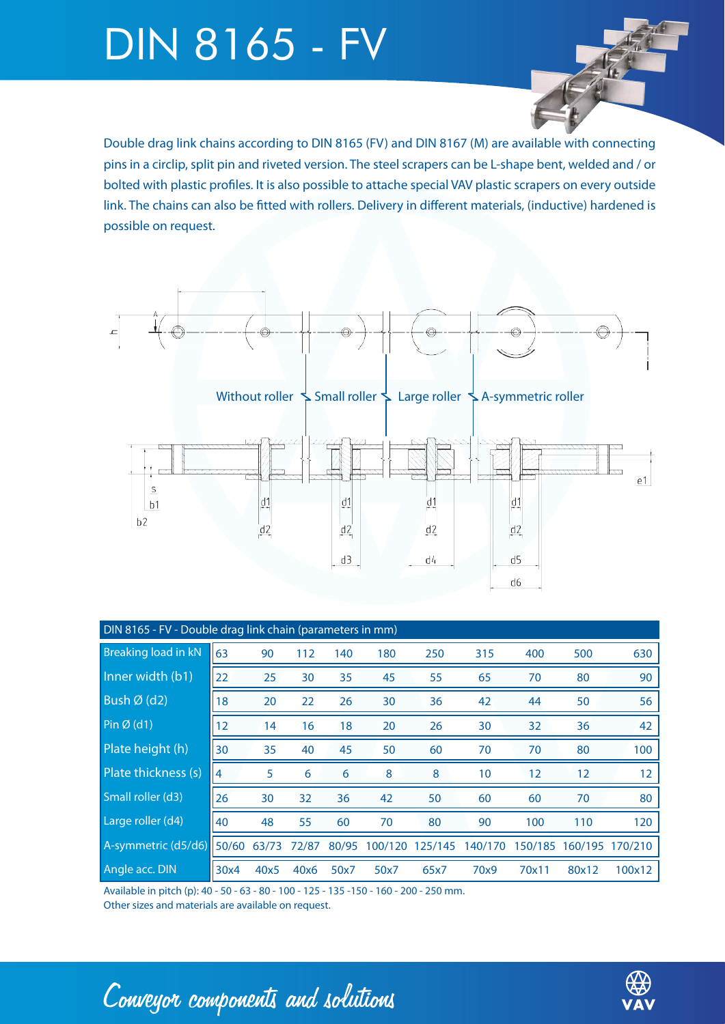## DIN 8165 - FV

Double drag link chains according to DIN 8165 (FV) and DIN 8167 (M) are available with connecting pins in a circlip, split pin and riveted version. The steel scrapers can be L-shape bent, welded and / or bolted with plastic profiles. It is also possible to attache special VAV plastic scrapers on every outside link. The chains can also be fitted with rollers. Delivery in different materials, (inductive) hardened is possible on request.



| DIN 8165 - FV - Double drag link chain (parameters in mm) |                   |       |       |       |                 |      |                 |       |                 |         |
|-----------------------------------------------------------|-------------------|-------|-------|-------|-----------------|------|-----------------|-------|-----------------|---------|
| <b>Breaking load in kN</b>                                | 63                | 90    | 112   | 140   | 180             | 250  | 315             | 400   | 500             | 630     |
| Inner width (b1)                                          | 22                | 25    | 30    | 35    | 45              | 55   | 65              | 70    | 80              | 90      |
| Bush $\overline{\varnothing}$ (d2)                        | 18                | 20    | 22    | 26    | 30              | 36   | 42              | 44    | 50              | 56      |
| $Pin \emptyset$ (d1)                                      | $12 \overline{ }$ | 14    | 16    | 18    | 20              | 26   | 30              | 32    | 36              | 42      |
| Plate height (h)                                          | 30                | 35    | 40    | 45    | 50              | 60   | 70              | 70    | 80              | 100     |
| Plate thickness (s)                                       | 4                 | 5     | 6     | 6     | 8               | 8    | 10 <sup>°</sup> | 12    | 12              | 12      |
| Small roller (d3)                                         | 26                | 30    | 32    | 36    | 42              | 50   | 60              | 60    | 70              | 80      |
| Large roller (d4)                                         | 40                | 48    | 55    | 60    | 70              | 80   | 90              | 100   | 110             | 120     |
| A-symmetric (d5/d6)                                       | 50/60             | 63/73 | 72/87 | 80/95 | 100/120 125/145 |      | 140/170         |       | 150/185 160/195 | 170/210 |
| Angle acc. DIN                                            | 30x4              | 40x5  | 40x6  | 50x7  | 50x7            | 65x7 | 70x9            | 70x11 | 80x12           | 100x12  |

Available in pitch (p): 40 - 50 - 63 - 80 - 100 - 125 - 135 -150 - 160 - 200 - 250 mm.

Other sizes and materials are available on request.

Conveyor components and solutions